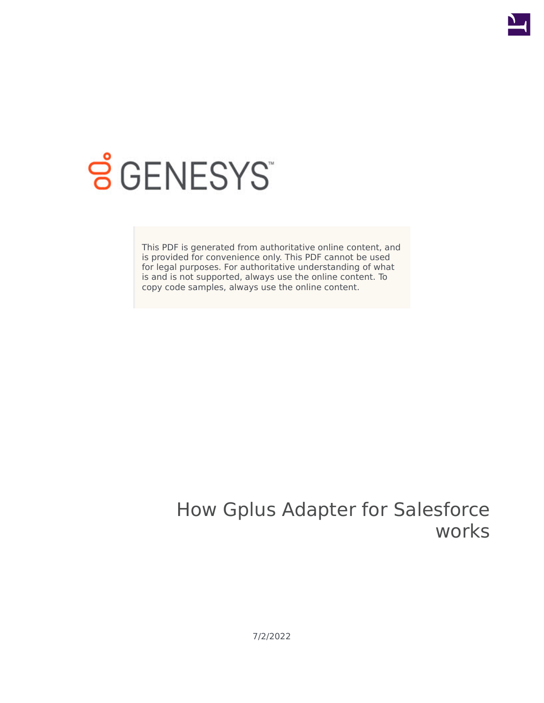

# **SGENESYS**

This PDF is generated from authoritative online content, and is provided for convenience only. This PDF cannot be used for legal purposes. For authoritative understanding of what is and is not supported, always use the online content. To copy code samples, always use the online content.

# How Gplus Adapter for Salesforce works

7/2/2022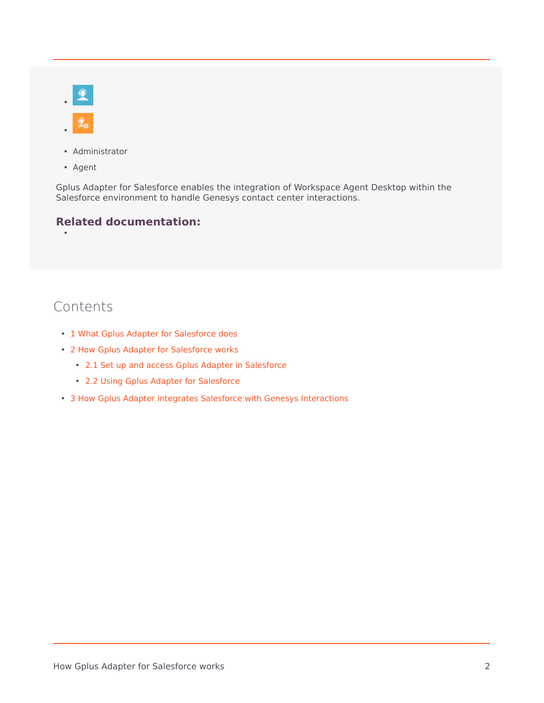- Administrator
- Agent

•

Gplus Adapter for Salesforce enables the integration of Workspace Agent Desktop within the Salesforce environment to handle Genesys contact center interactions.

#### **Related documentation:**

## Contents

- 1 [What Gplus Adapter for Salesforce does](#page-2-0)
- 2 [How Gplus Adapter for Salesforce works](#page-2-1)
	- 2.1 [Set up and access Gplus Adapter in Salesforce](#page-2-2)
	- 2.2 [Using Gplus Adapter for Salesforce](#page-3-0)
- 3 [How Gplus Adapter integrates Salesforce with Genesys Interactions](#page-4-0)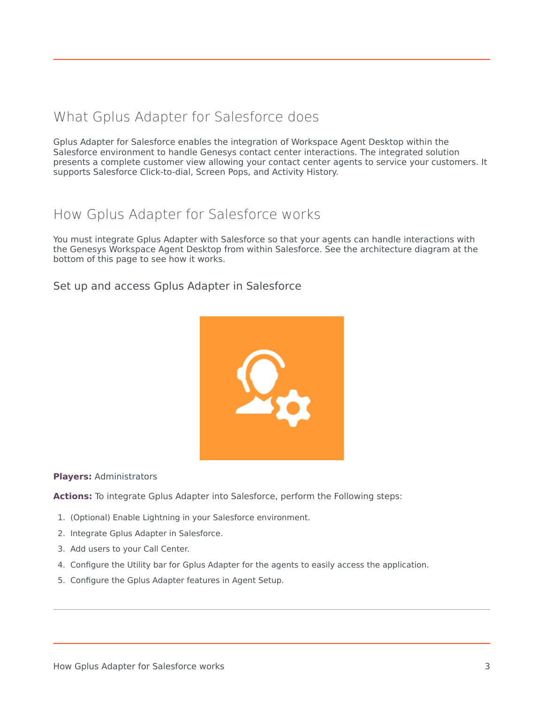## <span id="page-2-0"></span>What Gplus Adapter for Salesforce does

Gplus Adapter for Salesforce enables the integration of Workspace Agent Desktop within the Salesforce environment to handle Genesys contact center interactions. The integrated solution presents a complete customer view allowing your contact center agents to service your customers. It supports Salesforce Click-to-dial, Screen Pops, and Activity History.

### <span id="page-2-1"></span>How Gplus Adapter for Salesforce works

You must integrate Gplus Adapter with Salesforce so that your agents can handle interactions with the Genesys Workspace Agent Desktop from within Salesforce. See the architecture diagram at the bottom of this page to see how it works.

#### <span id="page-2-2"></span>Set up and access Gplus Adapter in Salesforce



#### **Players:** Administrators

**Actions:** To integrate Gplus Adapter into Salesforce, perform the Following steps:

- 1. (Optional) Enable Lightning in your Salesforce environment.
- 2. Integrate Gplus Adapter in Salesforce.
- 3. Add users to your Call Center.
- 4. Configure the Utility bar for Gplus Adapter for the agents to easily access the application.
- 5. Configure the Gplus Adapter features in Agent Setup.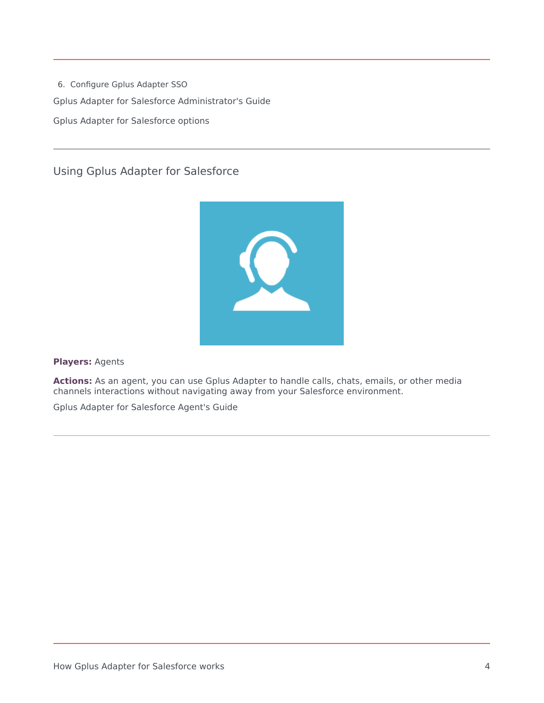6. Configure Gplus Adapter SSO Gplus Adapter for Salesforce Administrator's Guide Gplus Adapter for Salesforce options

<span id="page-3-0"></span>Using Gplus Adapter for Salesforce



**Players:** Agents

**Actions:** As an agent, you can use Gplus Adapter to handle calls, chats, emails, or other media channels interactions without navigating away from your Salesforce environment.

Gplus Adapter for Salesforce Agent's Guide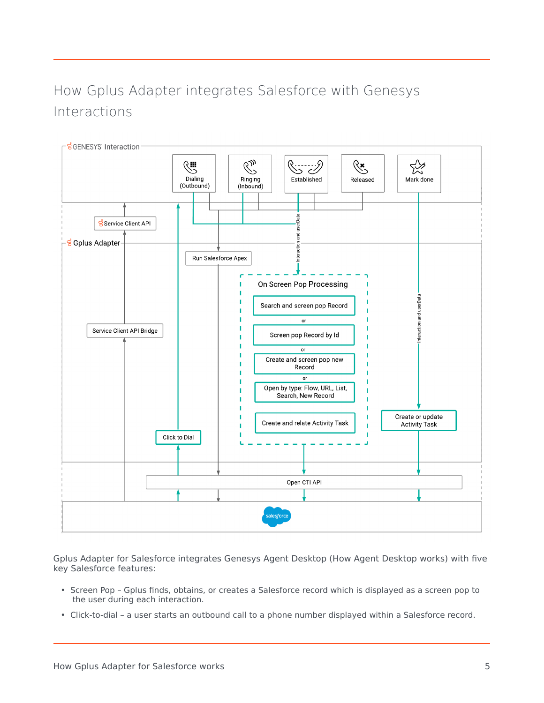## <span id="page-4-0"></span>How Gplus Adapter integrates Salesforce with Genesys Interactions



Gplus Adapter for Salesforce integrates Genesys Agent Desktop (How Agent Desktop works) with five key Salesforce features:

- Screen Pop Gplus finds, obtains, or creates a Salesforce record which is displayed as a screen pop to the user during each interaction.
- Click-to-dial a user starts an outbound call to a phone number displayed within a Salesforce record.